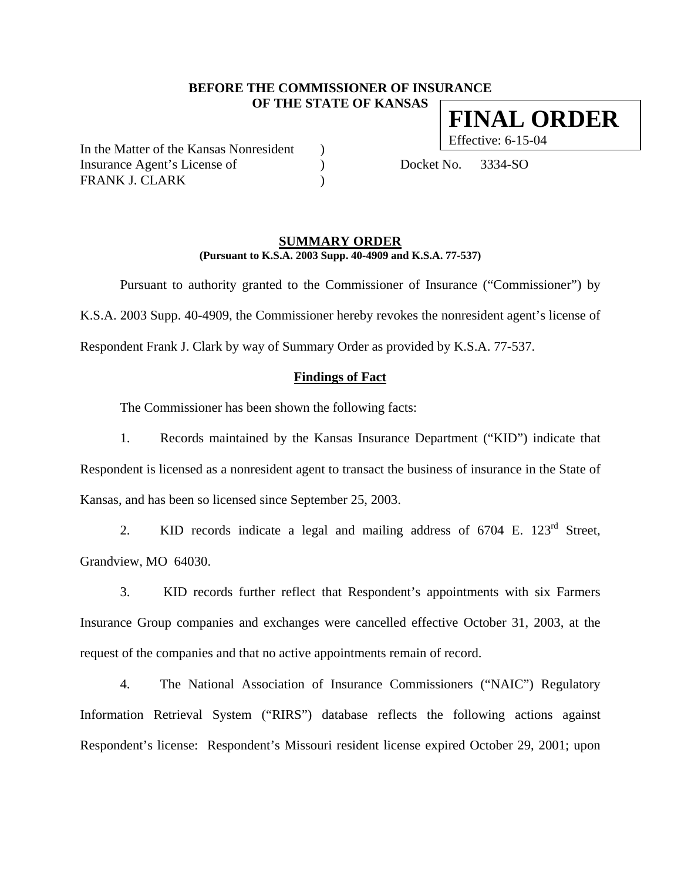## **BEFORE THE COMMISSIONER OF INSURANCE OF THE STATE OF KANSAS**

In the Matter of the Kansas Nonresident ) Insurance Agent's License of (a) Docket No. 3334-SO FRANK J. CLARK (1999)

#### **SUMMARY ORDER (Pursuant to K.S.A. 2003 Supp. 40-4909 and K.S.A. 77-537)**

 Pursuant to authority granted to the Commissioner of Insurance ("Commissioner") by K.S.A. 2003 Supp. 40-4909, the Commissioner hereby revokes the nonresident agent's license of Respondent Frank J. Clark by way of Summary Order as provided by K.S.A. 77-537.

### **Findings of Fact**

The Commissioner has been shown the following facts:

1. Records maintained by the Kansas Insurance Department ("KID") indicate that Respondent is licensed as a nonresident agent to transact the business of insurance in the State of Kansas, and has been so licensed since September 25, 2003.

2. KID records indicate a legal and mailing address of 6704 E. 123<sup>rd</sup> Street, Grandview, MO 64030.

3. KID records further reflect that Respondent's appointments with six Farmers Insurance Group companies and exchanges were cancelled effective October 31, 2003, at the request of the companies and that no active appointments remain of record.

4. The National Association of Insurance Commissioners ("NAIC") Regulatory Information Retrieval System ("RIRS") database reflects the following actions against Respondent's license: Respondent's Missouri resident license expired October 29, 2001; upon

**FINAL ORDER**

Effective: 6-15-04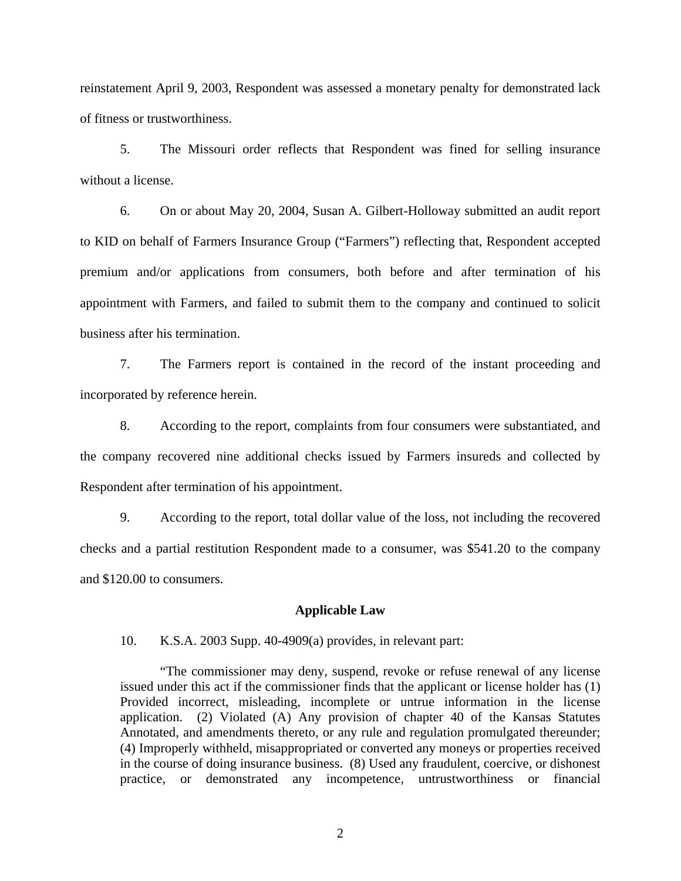reinstatement April 9, 2003, Respondent was assessed a monetary penalty for demonstrated lack of fitness or trustworthiness.

5. The Missouri order reflects that Respondent was fined for selling insurance without a license.

6. On or about May 20, 2004, Susan A. Gilbert-Holloway submitted an audit report to KID on behalf of Farmers Insurance Group ("Farmers") reflecting that, Respondent accepted premium and/or applications from consumers, both before and after termination of his appointment with Farmers, and failed to submit them to the company and continued to solicit business after his termination.

7. The Farmers report is contained in the record of the instant proceeding and incorporated by reference herein.

8. According to the report, complaints from four consumers were substantiated, and the company recovered nine additional checks issued by Farmers insureds and collected by Respondent after termination of his appointment.

9. According to the report, total dollar value of the loss, not including the recovered checks and a partial restitution Respondent made to a consumer, was \$541.20 to the company and \$120.00 to consumers.

#### **Applicable Law**

10. K.S.A. 2003 Supp. 40-4909(a) provides, in relevant part:

"The commissioner may deny, suspend, revoke or refuse renewal of any license issued under this act if the commissioner finds that the applicant or license holder has (1) Provided incorrect, misleading, incomplete or untrue information in the license application. (2) Violated (A) Any provision of chapter 40 of the Kansas Statutes Annotated, and amendments thereto, or any rule and regulation promulgated thereunder; (4) Improperly withheld, misappropriated or converted any moneys or properties received in the course of doing insurance business. (8) Used any fraudulent, coercive, or dishonest practice, or demonstrated any incompetence, untrustworthiness or financial

2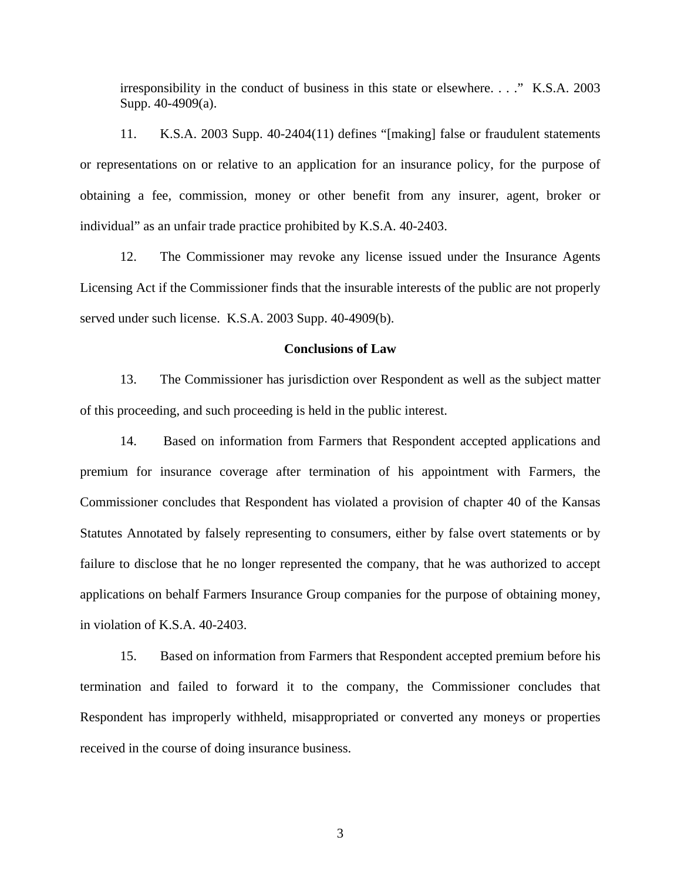irresponsibility in the conduct of business in this state or elsewhere. . . ." K.S.A. 2003 Supp. 40-4909(a).

11. K.S.A. 2003 Supp. 40-2404(11) defines "[making] false or fraudulent statements or representations on or relative to an application for an insurance policy, for the purpose of obtaining a fee, commission, money or other benefit from any insurer, agent, broker or individual" as an unfair trade practice prohibited by K.S.A. 40-2403.

12. The Commissioner may revoke any license issued under the Insurance Agents Licensing Act if the Commissioner finds that the insurable interests of the public are not properly served under such license. K.S.A. 2003 Supp. 40-4909(b).

#### **Conclusions of Law**

13. The Commissioner has jurisdiction over Respondent as well as the subject matter of this proceeding, and such proceeding is held in the public interest.

14. Based on information from Farmers that Respondent accepted applications and premium for insurance coverage after termination of his appointment with Farmers, the Commissioner concludes that Respondent has violated a provision of chapter 40 of the Kansas Statutes Annotated by falsely representing to consumers, either by false overt statements or by failure to disclose that he no longer represented the company, that he was authorized to accept applications on behalf Farmers Insurance Group companies for the purpose of obtaining money, in violation of K.S.A. 40-2403.

15. Based on information from Farmers that Respondent accepted premium before his termination and failed to forward it to the company, the Commissioner concludes that Respondent has improperly withheld, misappropriated or converted any moneys or properties received in the course of doing insurance business.

3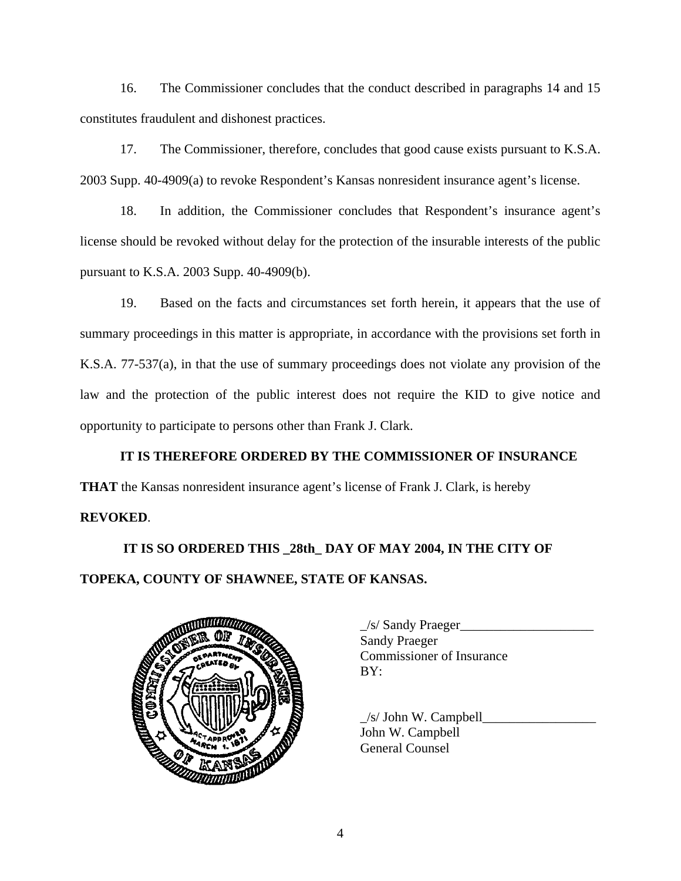16. The Commissioner concludes that the conduct described in paragraphs 14 and 15 constitutes fraudulent and dishonest practices.

17. The Commissioner, therefore, concludes that good cause exists pursuant to K.S.A. 2003 Supp. 40-4909(a) to revoke Respondent's Kansas nonresident insurance agent's license.

18. In addition, the Commissioner concludes that Respondent's insurance agent's license should be revoked without delay for the protection of the insurable interests of the public pursuant to K.S.A. 2003 Supp. 40-4909(b).

19. Based on the facts and circumstances set forth herein, it appears that the use of summary proceedings in this matter is appropriate, in accordance with the provisions set forth in K.S.A. 77-537(a), in that the use of summary proceedings does not violate any provision of the law and the protection of the public interest does not require the KID to give notice and opportunity to participate to persons other than Frank J. Clark.

# **IT IS THEREFORE ORDERED BY THE COMMISSIONER OF INSURANCE**

**THAT** the Kansas nonresident insurance agent's license of Frank J. Clark, is hereby

# **REVOKED**.

# **IT IS SO ORDERED THIS \_28th\_ DAY OF MAY 2004, IN THE CITY OF TOPEKA, COUNTY OF SHAWNEE, STATE OF KANSAS.**



| $\angle$ s/ Sandy Praeger        |
|----------------------------------|
| <b>Sandy Praeger</b>             |
| <b>Commissioner of Insurance</b> |
| BY:                              |
|                                  |

 $/s/$  John W. Campbell John W. Campbell General Counsel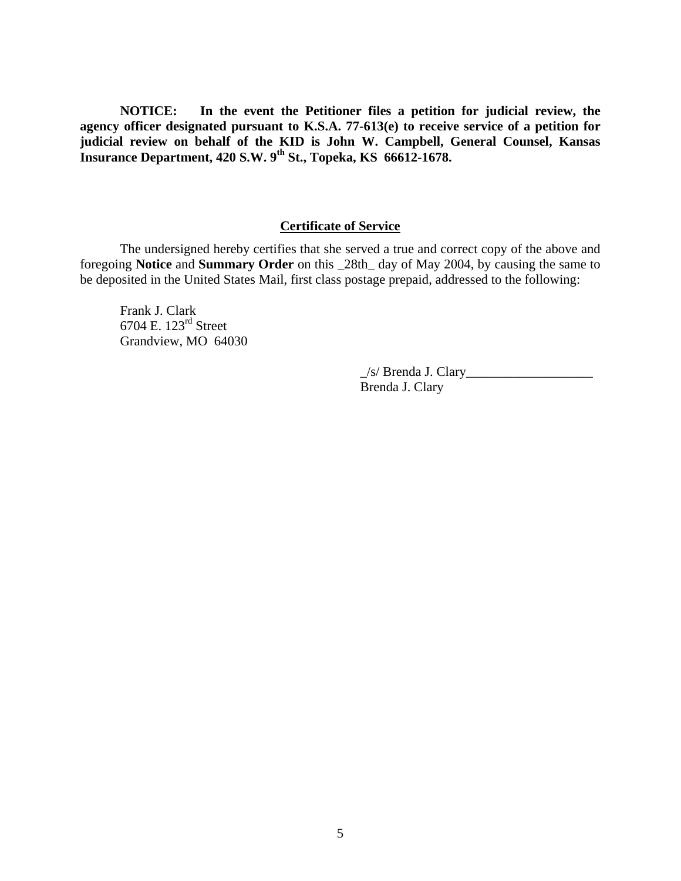**NOTICE: In the event the Petitioner files a petition for judicial review, the agency officer designated pursuant to K.S.A. 77-613(e) to receive service of a petition for judicial review on behalf of the KID is John W. Campbell, General Counsel, Kansas Insurance Department, 420 S.W. 9th St., Topeka, KS 66612-1678.** 

# **Certificate of Service**

 The undersigned hereby certifies that she served a true and correct copy of the above and foregoing **Notice** and **Summary Order** on this \_28th\_ day of May 2004, by causing the same to be deposited in the United States Mail, first class postage prepaid, addressed to the following:

Frank J. Clark 6704 E. 123rd Street Grandview, MO 64030

> $\angle$ s/ Brenda J. Clary $\angle$ Brenda J. Clary